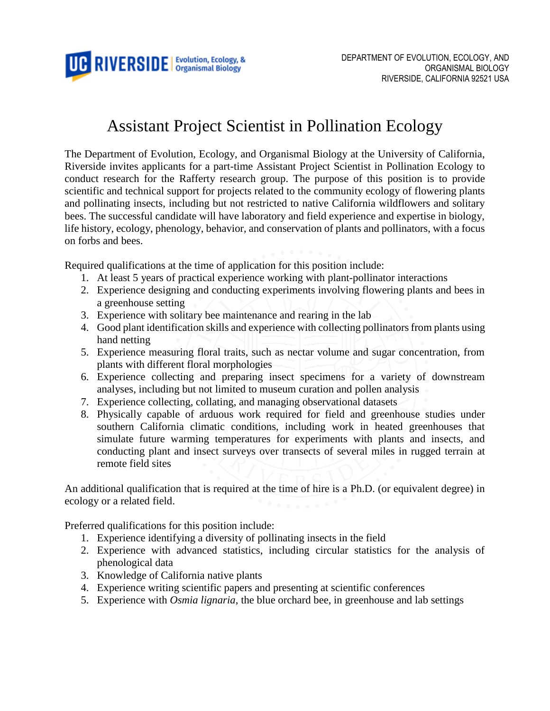

## Assistant Project Scientist in Pollination Ecology

The Department of Evolution, Ecology, and Organismal Biology at the University of California, Riverside invites applicants for a part-time Assistant Project Scientist in Pollination Ecology to conduct research for the Rafferty research group. The purpose of this position is to provide scientific and technical support for projects related to the community ecology of flowering plants and pollinating insects, including but not restricted to native California wildflowers and solitary bees. The successful candidate will have laboratory and field experience and expertise in biology, life history, ecology, phenology, behavior, and conservation of plants and pollinators, with a focus on forbs and bees.

Required qualifications at the time of application for this position include:

- 1. At least 5 years of practical experience working with plant-pollinator interactions
- 2. Experience designing and conducting experiments involving flowering plants and bees in a greenhouse setting
- 3. Experience with solitary bee maintenance and rearing in the lab
- 4. Good plant identification skills and experience with collecting pollinators from plants using hand netting
- 5. Experience measuring floral traits, such as nectar volume and sugar concentration, from plants with different floral morphologies
- 6. Experience collecting and preparing insect specimens for a variety of downstream analyses, including but not limited to museum curation and pollen analysis
- 7. Experience collecting, collating, and managing observational datasets
- 8. Physically capable of arduous work required for field and greenhouse studies under southern California climatic conditions, including work in heated greenhouses that simulate future warming temperatures for experiments with plants and insects, and conducting plant and insect surveys over transects of several miles in rugged terrain at remote field sites

An additional qualification that is required at the time of hire is a Ph.D. (or equivalent degree) in ecology or a related field.

Preferred qualifications for this position include:

- 1. Experience identifying a diversity of pollinating insects in the field
- 2. Experience with advanced statistics, including circular statistics for the analysis of phenological data
- 3. Knowledge of California native plants
- 4. Experience writing scientific papers and presenting at scientific conferences
- 5. Experience with *Osmia lignaria*, the blue orchard bee, in greenhouse and lab settings